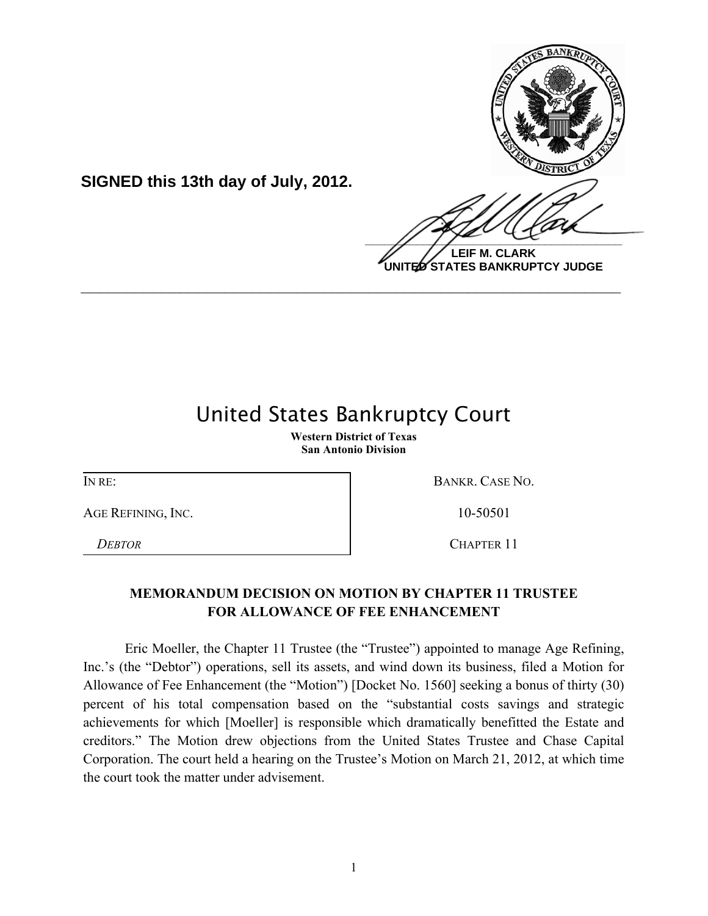

**UNITED STATES BANKRUPTCY JUDGE**

## United States Bankruptcy Court

**\_\_\_\_\_\_\_\_\_\_\_\_\_\_\_\_\_\_\_\_\_\_\_\_\_\_\_\_\_\_\_\_\_\_\_\_\_\_\_\_\_\_\_\_\_\_\_\_\_\_\_\_\_\_\_\_\_\_\_\_**

**Western District of Texas San Antonio Division**

AGE REFINING, INC. 10-50501

**SIGNED this 13th day of July, 2012.**

IN RE: BANKR. CASE NO.

*DEBTOR* CHAPTER 11

## **MEMORANDUM DECISION ON MOTION BY CHAPTER 11 TRUSTEE FOR ALLOWANCE OF FEE ENHANCEMENT**

Eric Moeller, the Chapter 11 Trustee (the "Trustee") appointed to manage Age Refining, Inc.'s (the "Debtor") operations, sell its assets, and wind down its business, filed a Motion for Allowance of Fee Enhancement (the "Motion") [Docket No. 1560] seeking a bonus of thirty (30) percent of his total compensation based on the "substantial costs savings and strategic achievements for which [Moeller] is responsible which dramatically benefitted the Estate and creditors." The Motion drew objections from the United States Trustee and Chase Capital Corporation. The court held a hearing on the Trustee's Motion on March 21, 2012, at which time the court took the matter under advisement.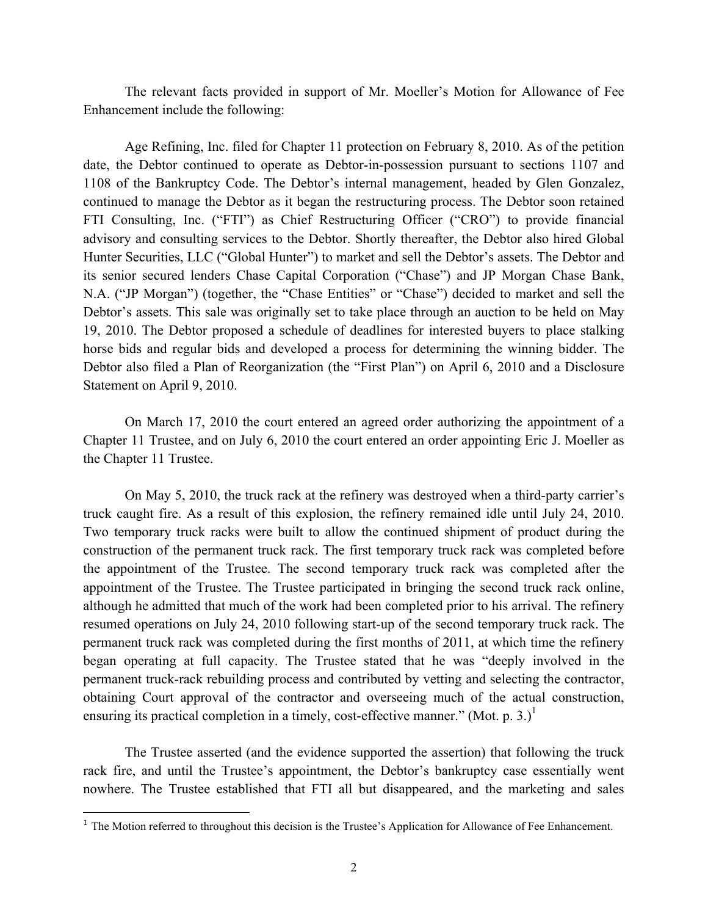The relevant facts provided in support of Mr. Moeller's Motion for Allowance of Fee Enhancement include the following:

Age Refining, Inc. filed for Chapter 11 protection on February 8, 2010. As of the petition date, the Debtor continued to operate as Debtor-in-possession pursuant to sections 1107 and 1108 of the Bankruptcy Code. The Debtor's internal management, headed by Glen Gonzalez, continued to manage the Debtor as it began the restructuring process. The Debtor soon retained FTI Consulting, Inc. ("FTI") as Chief Restructuring Officer ("CRO") to provide financial advisory and consulting services to the Debtor. Shortly thereafter, the Debtor also hired Global Hunter Securities, LLC ("Global Hunter") to market and sell the Debtor's assets. The Debtor and its senior secured lenders Chase Capital Corporation ("Chase") and JP Morgan Chase Bank, N.A. ("JP Morgan") (together, the "Chase Entities" or "Chase") decided to market and sell the Debtor's assets. This sale was originally set to take place through an auction to be held on May 19, 2010. The Debtor proposed a schedule of deadlines for interested buyers to place stalking horse bids and regular bids and developed a process for determining the winning bidder. The Debtor also filed a Plan of Reorganization (the "First Plan") on April 6, 2010 and a Disclosure Statement on April 9, 2010.

On March 17, 2010 the court entered an agreed order authorizing the appointment of a Chapter 11 Trustee, and on July 6, 2010 the court entered an order appointing Eric J. Moeller as the Chapter 11 Trustee.

On May 5, 2010, the truck rack at the refinery was destroyed when a third-party carrier's truck caught fire. As a result of this explosion, the refinery remained idle until July 24, 2010. Two temporary truck racks were built to allow the continued shipment of product during the construction of the permanent truck rack. The first temporary truck rack was completed before the appointment of the Trustee. The second temporary truck rack was completed after the appointment of the Trustee. The Trustee participated in bringing the second truck rack online, although he admitted that much of the work had been completed prior to his arrival. The refinery resumed operations on July 24, 2010 following start-up of the second temporary truck rack. The permanent truck rack was completed during the first months of 2011, at which time the refinery began operating at full capacity. The Trustee stated that he was "deeply involved in the permanent truck-rack rebuilding process and contributed by vetting and selecting the contractor, obtaining Court approval of the contractor and overseeing much of the actual construction, ensuring its practical completion in a timely, cost-effective manner." (Mot. p. 3.)<sup>1</sup>

The Trustee asserted (and the evidence supported the assertion) that following the truck rack fire, and until the Trustee's appointment, the Debtor's bankruptcy case essentially went nowhere. The Trustee established that FTI all but disappeared, and the marketing and sales

<sup>&</sup>lt;sup>1</sup> The Motion referred to throughout this decision is the Trustee's Application for Allowance of Fee Enhancement.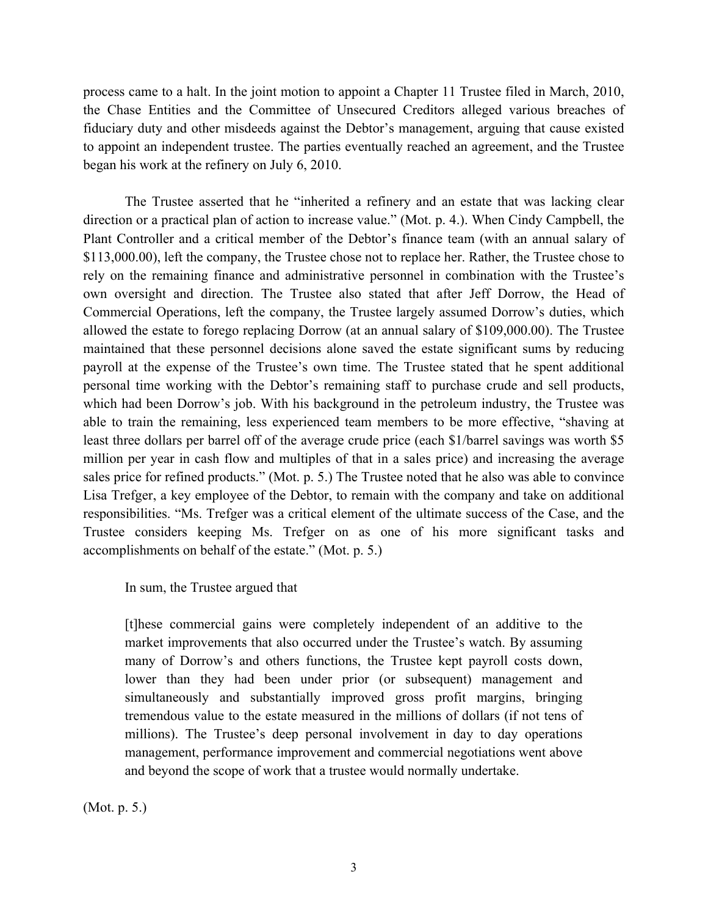process came to a halt. In the joint motion to appoint a Chapter 11 Trustee filed in March, 2010, the Chase Entities and the Committee of Unsecured Creditors alleged various breaches of fiduciary duty and other misdeeds against the Debtor's management, arguing that cause existed to appoint an independent trustee. The parties eventually reached an agreement, and the Trustee began his work at the refinery on July 6, 2010.

The Trustee asserted that he "inherited a refinery and an estate that was lacking clear direction or a practical plan of action to increase value." (Mot. p. 4.). When Cindy Campbell, the Plant Controller and a critical member of the Debtor's finance team (with an annual salary of \$113,000.00), left the company, the Trustee chose not to replace her. Rather, the Trustee chose to rely on the remaining finance and administrative personnel in combination with the Trustee's own oversight and direction. The Trustee also stated that after Jeff Dorrow, the Head of Commercial Operations, left the company, the Trustee largely assumed Dorrow's duties, which allowed the estate to forego replacing Dorrow (at an annual salary of \$109,000.00). The Trustee maintained that these personnel decisions alone saved the estate significant sums by reducing payroll at the expense of the Trustee's own time. The Trustee stated that he spent additional personal time working with the Debtor's remaining staff to purchase crude and sell products, which had been Dorrow's job. With his background in the petroleum industry, the Trustee was able to train the remaining, less experienced team members to be more effective, "shaving at least three dollars per barrel off of the average crude price (each \$1/barrel savings was worth \$5 million per year in cash flow and multiples of that in a sales price) and increasing the average sales price for refined products." (Mot. p. 5.) The Trustee noted that he also was able to convince Lisa Trefger, a key employee of the Debtor, to remain with the company and take on additional responsibilities. "Ms. Trefger was a critical element of the ultimate success of the Case, and the Trustee considers keeping Ms. Trefger on as one of his more significant tasks and accomplishments on behalf of the estate." (Mot. p. 5.)

In sum, the Trustee argued that

[t]hese commercial gains were completely independent of an additive to the market improvements that also occurred under the Trustee's watch. By assuming many of Dorrow's and others functions, the Trustee kept payroll costs down, lower than they had been under prior (or subsequent) management and simultaneously and substantially improved gross profit margins, bringing tremendous value to the estate measured in the millions of dollars (if not tens of millions). The Trustee's deep personal involvement in day to day operations management, performance improvement and commercial negotiations went above and beyond the scope of work that a trustee would normally undertake.

(Mot. p. 5.)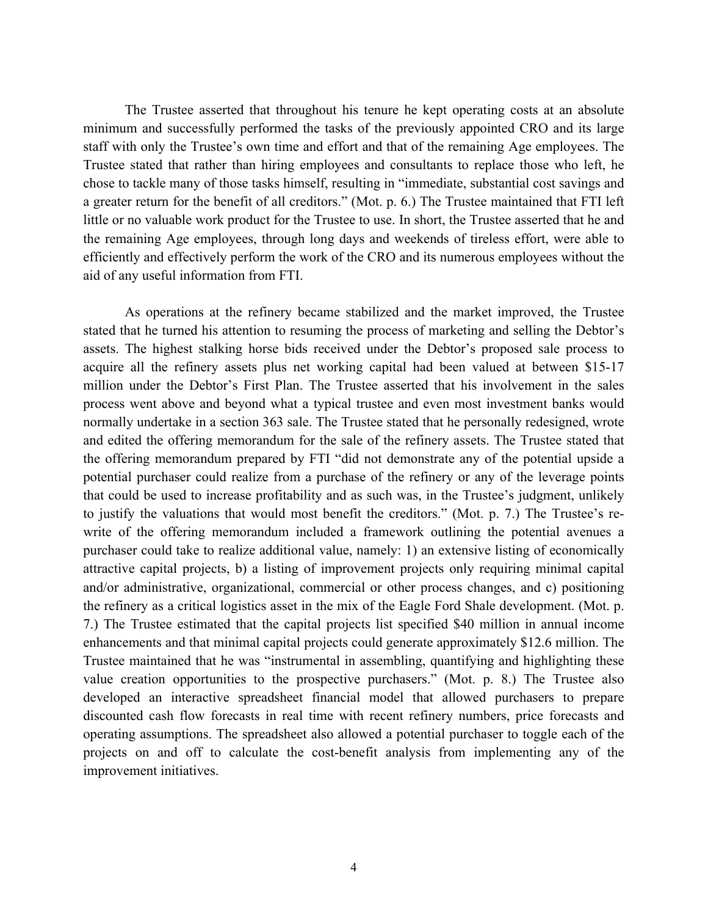The Trustee asserted that throughout his tenure he kept operating costs at an absolute minimum and successfully performed the tasks of the previously appointed CRO and its large staff with only the Trustee's own time and effort and that of the remaining Age employees. The Trustee stated that rather than hiring employees and consultants to replace those who left, he chose to tackle many of those tasks himself, resulting in "immediate, substantial cost savings and a greater return for the benefit of all creditors." (Mot. p. 6.) The Trustee maintained that FTI left little or no valuable work product for the Trustee to use. In short, the Trustee asserted that he and the remaining Age employees, through long days and weekends of tireless effort, were able to efficiently and effectively perform the work of the CRO and its numerous employees without the aid of any useful information from FTI.

As operations at the refinery became stabilized and the market improved, the Trustee stated that he turned his attention to resuming the process of marketing and selling the Debtor's assets. The highest stalking horse bids received under the Debtor's proposed sale process to acquire all the refinery assets plus net working capital had been valued at between \$15-17 million under the Debtor's First Plan. The Trustee asserted that his involvement in the sales process went above and beyond what a typical trustee and even most investment banks would normally undertake in a section 363 sale. The Trustee stated that he personally redesigned, wrote and edited the offering memorandum for the sale of the refinery assets. The Trustee stated that the offering memorandum prepared by FTI "did not demonstrate any of the potential upside a potential purchaser could realize from a purchase of the refinery or any of the leverage points that could be used to increase profitability and as such was, in the Trustee's judgment, unlikely to justify the valuations that would most benefit the creditors." (Mot. p. 7.) The Trustee's rewrite of the offering memorandum included a framework outlining the potential avenues a purchaser could take to realize additional value, namely: 1) an extensive listing of economically attractive capital projects, b) a listing of improvement projects only requiring minimal capital and/or administrative, organizational, commercial or other process changes, and c) positioning the refinery as a critical logistics asset in the mix of the Eagle Ford Shale development. (Mot. p. 7.) The Trustee estimated that the capital projects list specified \$40 million in annual income enhancements and that minimal capital projects could generate approximately \$12.6 million. The Trustee maintained that he was "instrumental in assembling, quantifying and highlighting these value creation opportunities to the prospective purchasers." (Mot. p. 8.) The Trustee also developed an interactive spreadsheet financial model that allowed purchasers to prepare discounted cash flow forecasts in real time with recent refinery numbers, price forecasts and operating assumptions. The spreadsheet also allowed a potential purchaser to toggle each of the projects on and off to calculate the cost-benefit analysis from implementing any of the improvement initiatives.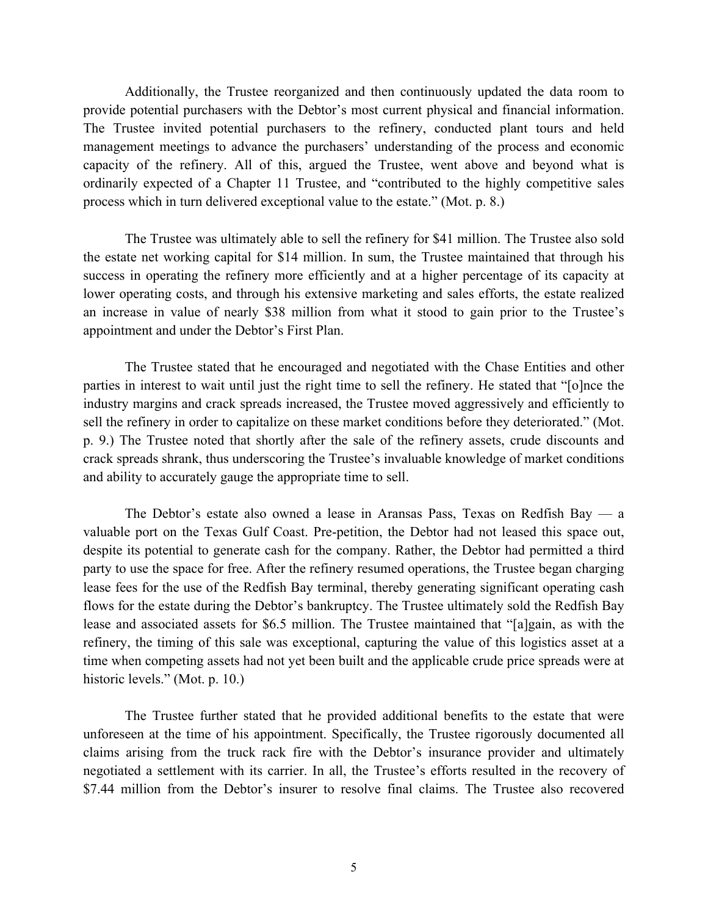Additionally, the Trustee reorganized and then continuously updated the data room to provide potential purchasers with the Debtor's most current physical and financial information. The Trustee invited potential purchasers to the refinery, conducted plant tours and held management meetings to advance the purchasers' understanding of the process and economic capacity of the refinery. All of this, argued the Trustee, went above and beyond what is ordinarily expected of a Chapter 11 Trustee, and "contributed to the highly competitive sales process which in turn delivered exceptional value to the estate." (Mot. p. 8.)

The Trustee was ultimately able to sell the refinery for \$41 million. The Trustee also sold the estate net working capital for \$14 million. In sum, the Trustee maintained that through his success in operating the refinery more efficiently and at a higher percentage of its capacity at lower operating costs, and through his extensive marketing and sales efforts, the estate realized an increase in value of nearly \$38 million from what it stood to gain prior to the Trustee's appointment and under the Debtor's First Plan.

The Trustee stated that he encouraged and negotiated with the Chase Entities and other parties in interest to wait until just the right time to sell the refinery. He stated that "[o]nce the industry margins and crack spreads increased, the Trustee moved aggressively and efficiently to sell the refinery in order to capitalize on these market conditions before they deteriorated." (Mot. p. 9.) The Trustee noted that shortly after the sale of the refinery assets, crude discounts and crack spreads shrank, thus underscoring the Trustee's invaluable knowledge of market conditions and ability to accurately gauge the appropriate time to sell.

The Debtor's estate also owned a lease in Aransas Pass, Texas on Redfish Bay — a valuable port on the Texas Gulf Coast. Pre-petition, the Debtor had not leased this space out, despite its potential to generate cash for the company. Rather, the Debtor had permitted a third party to use the space for free. After the refinery resumed operations, the Trustee began charging lease fees for the use of the Redfish Bay terminal, thereby generating significant operating cash flows for the estate during the Debtor's bankruptcy. The Trustee ultimately sold the Redfish Bay lease and associated assets for \$6.5 million. The Trustee maintained that "[a]gain, as with the refinery, the timing of this sale was exceptional, capturing the value of this logistics asset at a time when competing assets had not yet been built and the applicable crude price spreads were at historic levels." (Mot. p. 10.)

The Trustee further stated that he provided additional benefits to the estate that were unforeseen at the time of his appointment. Specifically, the Trustee rigorously documented all claims arising from the truck rack fire with the Debtor's insurance provider and ultimately negotiated a settlement with its carrier. In all, the Trustee's efforts resulted in the recovery of \$7.44 million from the Debtor's insurer to resolve final claims. The Trustee also recovered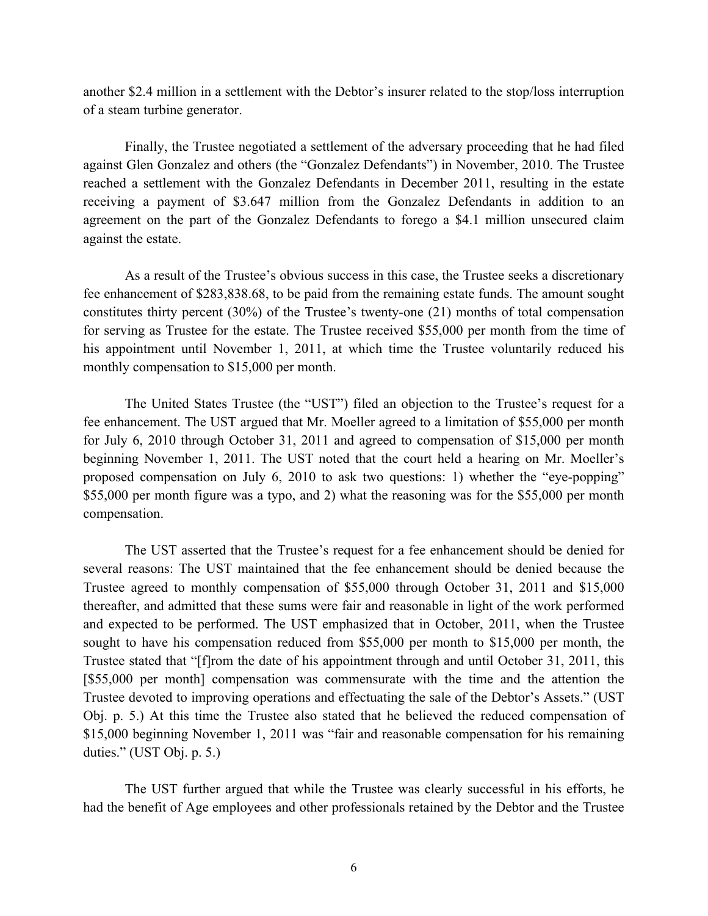another \$2.4 million in a settlement with the Debtor's insurer related to the stop/loss interruption of a steam turbine generator.

Finally, the Trustee negotiated a settlement of the adversary proceeding that he had filed against Glen Gonzalez and others (the "Gonzalez Defendants") in November, 2010. The Trustee reached a settlement with the Gonzalez Defendants in December 2011, resulting in the estate receiving a payment of \$3.647 million from the Gonzalez Defendants in addition to an agreement on the part of the Gonzalez Defendants to forego a \$4.1 million unsecured claim against the estate.

As a result of the Trustee's obvious success in this case, the Trustee seeks a discretionary fee enhancement of \$283,838.68, to be paid from the remaining estate funds. The amount sought constitutes thirty percent (30%) of the Trustee's twenty-one (21) months of total compensation for serving as Trustee for the estate. The Trustee received \$55,000 per month from the time of his appointment until November 1, 2011, at which time the Trustee voluntarily reduced his monthly compensation to \$15,000 per month.

The United States Trustee (the "UST") filed an objection to the Trustee's request for a fee enhancement. The UST argued that Mr. Moeller agreed to a limitation of \$55,000 per month for July 6, 2010 through October 31, 2011 and agreed to compensation of \$15,000 per month beginning November 1, 2011. The UST noted that the court held a hearing on Mr. Moeller's proposed compensation on July 6, 2010 to ask two questions: 1) whether the "eye-popping" \$55,000 per month figure was a typo, and 2) what the reasoning was for the \$55,000 per month compensation.

The UST asserted that the Trustee's request for a fee enhancement should be denied for several reasons: The UST maintained that the fee enhancement should be denied because the Trustee agreed to monthly compensation of \$55,000 through October 31, 2011 and \$15,000 thereafter, and admitted that these sums were fair and reasonable in light of the work performed and expected to be performed. The UST emphasized that in October, 2011, when the Trustee sought to have his compensation reduced from \$55,000 per month to \$15,000 per month, the Trustee stated that "[f]rom the date of his appointment through and until October 31, 2011, this [\$55,000 per month] compensation was commensurate with the time and the attention the Trustee devoted to improving operations and effectuating the sale of the Debtor's Assets." (UST Obj. p. 5.) At this time the Trustee also stated that he believed the reduced compensation of \$15,000 beginning November 1, 2011 was "fair and reasonable compensation for his remaining duties." (UST Obj. p. 5.)

The UST further argued that while the Trustee was clearly successful in his efforts, he had the benefit of Age employees and other professionals retained by the Debtor and the Trustee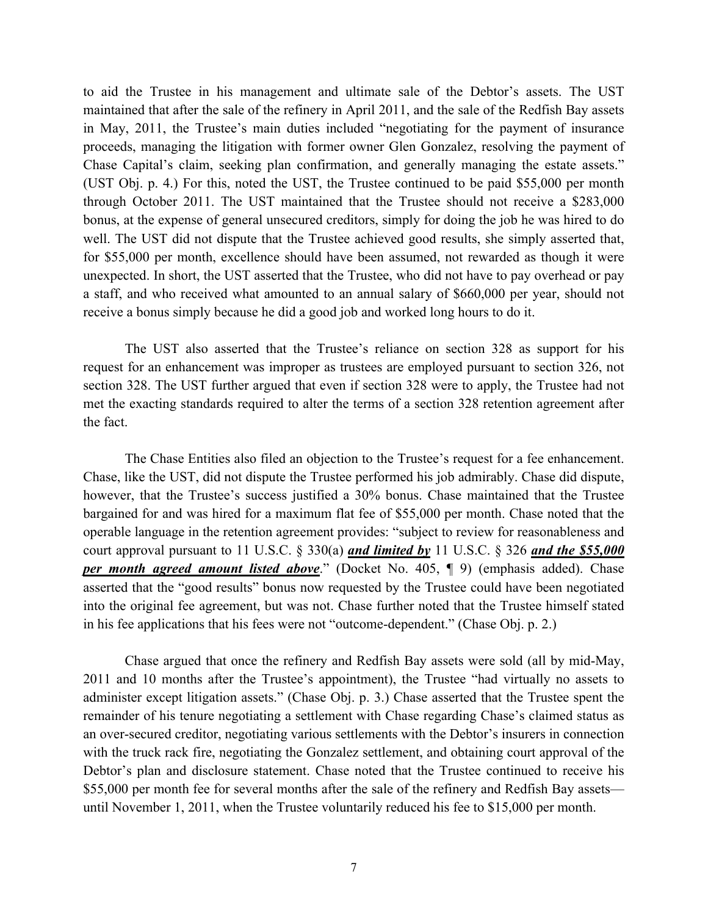to aid the Trustee in his management and ultimate sale of the Debtor's assets. The UST maintained that after the sale of the refinery in April 2011, and the sale of the Redfish Bay assets in May, 2011, the Trustee's main duties included "negotiating for the payment of insurance proceeds, managing the litigation with former owner Glen Gonzalez, resolving the payment of Chase Capital's claim, seeking plan confirmation, and generally managing the estate assets." (UST Obj. p. 4.) For this, noted the UST, the Trustee continued to be paid \$55,000 per month through October 2011. The UST maintained that the Trustee should not receive a \$283,000 bonus, at the expense of general unsecured creditors, simply for doing the job he was hired to do well. The UST did not dispute that the Trustee achieved good results, she simply asserted that, for \$55,000 per month, excellence should have been assumed, not rewarded as though it were unexpected. In short, the UST asserted that the Trustee, who did not have to pay overhead or pay a staff, and who received what amounted to an annual salary of \$660,000 per year, should not receive a bonus simply because he did a good job and worked long hours to do it.

The UST also asserted that the Trustee's reliance on section 328 as support for his request for an enhancement was improper as trustees are employed pursuant to section 326, not section 328. The UST further argued that even if section 328 were to apply, the Trustee had not met the exacting standards required to alter the terms of a section 328 retention agreement after the fact.

The Chase Entities also filed an objection to the Trustee's request for a fee enhancement. Chase, like the UST, did not dispute the Trustee performed his job admirably. Chase did dispute, however, that the Trustee's success justified a 30% bonus. Chase maintained that the Trustee bargained for and was hired for a maximum flat fee of \$55,000 per month. Chase noted that the operable language in the retention agreement provides: "subject to review for reasonableness and court approval pursuant to 11 U.S.C. § 330(a) *and limited by* 11 U.S.C. § 326 *and the \$55,000 per month agreed amount listed above*." (Docket No. 405, ¶ 9) (emphasis added). Chase asserted that the "good results" bonus now requested by the Trustee could have been negotiated into the original fee agreement, but was not. Chase further noted that the Trustee himself stated in his fee applications that his fees were not "outcome-dependent." (Chase Obj. p. 2.)

Chase argued that once the refinery and Redfish Bay assets were sold (all by mid-May, 2011 and 10 months after the Trustee's appointment), the Trustee "had virtually no assets to administer except litigation assets." (Chase Obj. p. 3.) Chase asserted that the Trustee spent the remainder of his tenure negotiating a settlement with Chase regarding Chase's claimed status as an over-secured creditor, negotiating various settlements with the Debtor's insurers in connection with the truck rack fire, negotiating the Gonzalez settlement, and obtaining court approval of the Debtor's plan and disclosure statement. Chase noted that the Trustee continued to receive his \$55,000 per month fee for several months after the sale of the refinery and Redfish Bay assets until November 1, 2011, when the Trustee voluntarily reduced his fee to \$15,000 per month.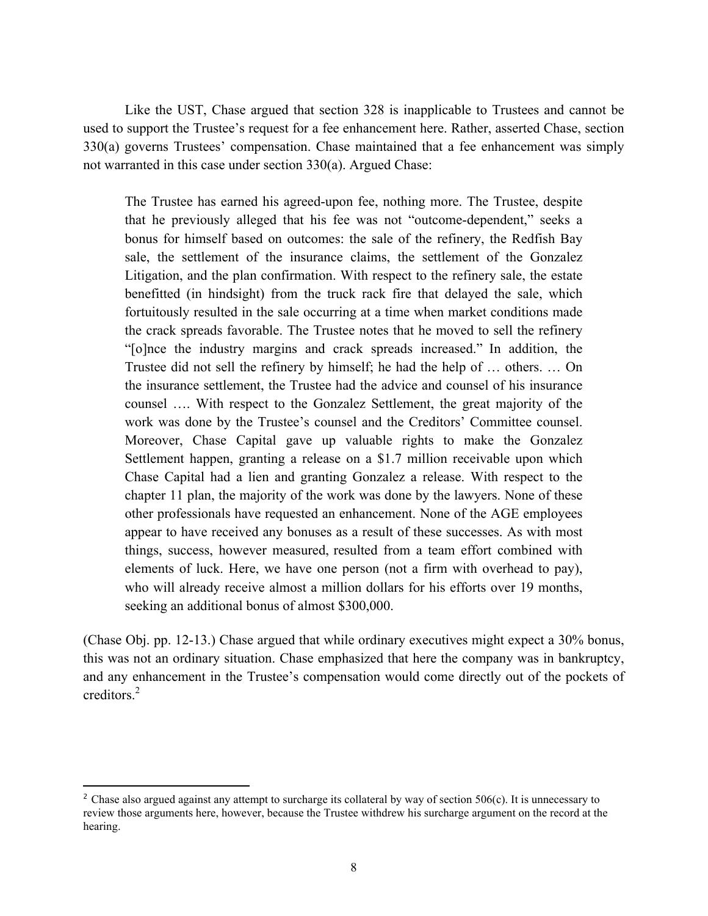Like the UST, Chase argued that section 328 is inapplicable to Trustees and cannot be used to support the Trustee's request for a fee enhancement here. Rather, asserted Chase, section 330(a) governs Trustees' compensation. Chase maintained that a fee enhancement was simply not warranted in this case under section 330(a). Argued Chase:

The Trustee has earned his agreed-upon fee, nothing more. The Trustee, despite that he previously alleged that his fee was not "outcome-dependent," seeks a bonus for himself based on outcomes: the sale of the refinery, the Redfish Bay sale, the settlement of the insurance claims, the settlement of the Gonzalez Litigation, and the plan confirmation. With respect to the refinery sale, the estate benefitted (in hindsight) from the truck rack fire that delayed the sale, which fortuitously resulted in the sale occurring at a time when market conditions made the crack spreads favorable. The Trustee notes that he moved to sell the refinery "[o]nce the industry margins and crack spreads increased." In addition, the Trustee did not sell the refinery by himself; he had the help of … others. … On the insurance settlement, the Trustee had the advice and counsel of his insurance counsel …. With respect to the Gonzalez Settlement, the great majority of the work was done by the Trustee's counsel and the Creditors' Committee counsel. Moreover, Chase Capital gave up valuable rights to make the Gonzalez Settlement happen, granting a release on a \$1.7 million receivable upon which Chase Capital had a lien and granting Gonzalez a release. With respect to the chapter 11 plan, the majority of the work was done by the lawyers. None of these other professionals have requested an enhancement. None of the AGE employees appear to have received any bonuses as a result of these successes. As with most things, success, however measured, resulted from a team effort combined with elements of luck. Here, we have one person (not a firm with overhead to pay), who will already receive almost a million dollars for his efforts over 19 months, seeking an additional bonus of almost \$300,000.

(Chase Obj. pp. 12-13.) Chase argued that while ordinary executives might expect a 30% bonus, this was not an ordinary situation. Chase emphasized that here the company was in bankruptcy, and any enhancement in the Trustee's compensation would come directly out of the pockets of creditors.<sup>2</sup>

<sup>&</sup>lt;sup>2</sup> Chase also argued against any attempt to surcharge its collateral by way of section 506(c). It is unnecessary to review those arguments here, however, because the Trustee withdrew his surcharge argument on the record at the hearing.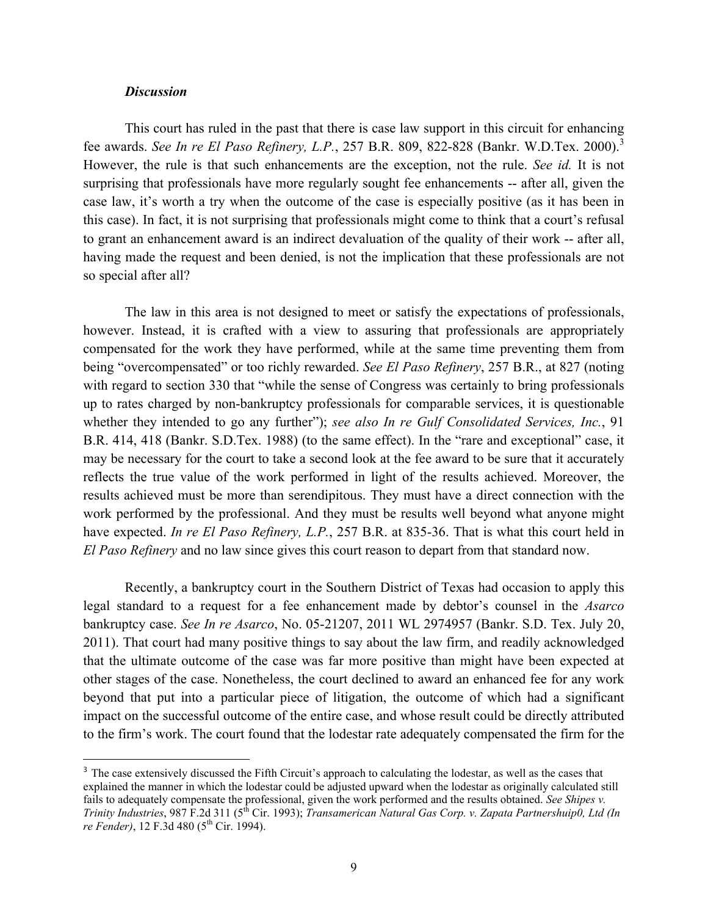## *Discussion*

This court has ruled in the past that there is case law support in this circuit for enhancing fee awards. *See In re El Paso Refinery, L.P.*, 257 B.R. 809, 822-828 (Bankr. W.D.Tex. 2000). 3 However, the rule is that such enhancements are the exception, not the rule. *See id.* It is not surprising that professionals have more regularly sought fee enhancements -- after all, given the case law, it's worth a try when the outcome of the case is especially positive (as it has been in this case). In fact, it is not surprising that professionals might come to think that a court's refusal to grant an enhancement award is an indirect devaluation of the quality of their work -- after all, having made the request and been denied, is not the implication that these professionals are not so special after all?

The law in this area is not designed to meet or satisfy the expectations of professionals, however. Instead, it is crafted with a view to assuring that professionals are appropriately compensated for the work they have performed, while at the same time preventing them from being "overcompensated" or too richly rewarded. *See El Paso Refinery*, 257 B.R., at 827 (noting with regard to section 330 that "while the sense of Congress was certainly to bring professionals up to rates charged by non-bankruptcy professionals for comparable services, it is questionable whether they intended to go any further"); *see also In re Gulf Consolidated Services, Inc.*, 91 B.R. 414, 418 (Bankr. S.D.Tex. 1988) (to the same effect). In the "rare and exceptional" case, it may be necessary for the court to take a second look at the fee award to be sure that it accurately reflects the true value of the work performed in light of the results achieved. Moreover, the results achieved must be more than serendipitous. They must have a direct connection with the work performed by the professional. And they must be results well beyond what anyone might have expected. *In re El Paso Refinery, L.P.*, 257 B.R. at 835-36. That is what this court held in *El Paso Refinery* and no law since gives this court reason to depart from that standard now.

Recently, a bankruptcy court in the Southern District of Texas had occasion to apply this legal standard to a request for a fee enhancement made by debtor's counsel in the *Asarco*  bankruptcy case. *See In re Asarco*, No. 05-21207, 2011 WL 2974957 (Bankr. S.D. Tex. July 20, 2011). That court had many positive things to say about the law firm, and readily acknowledged that the ultimate outcome of the case was far more positive than might have been expected at other stages of the case. Nonetheless, the court declined to award an enhanced fee for any work beyond that put into a particular piece of litigation, the outcome of which had a significant impact on the successful outcome of the entire case, and whose result could be directly attributed to the firm's work. The court found that the lodestar rate adequately compensated the firm for the

<sup>&</sup>lt;sup>3</sup> The case extensively discussed the Fifth Circuit's approach to calculating the lodestar, as well as the cases that explained the manner in which the lodestar could be adjusted upward when the lodestar as originally calculated still fails to adequately compensate the professional, given the work performed and the results obtained. *See Shipes v. Trinity Industries*, 987 F.2d 311 (5<sup>th</sup> Cir. 1993); *Transamerican Natural Gas Corp. v. Zapata Partnershuip0, Ltd (In re Fender*), 12 F.3d 480 (5<sup>th</sup> Cir. 1994).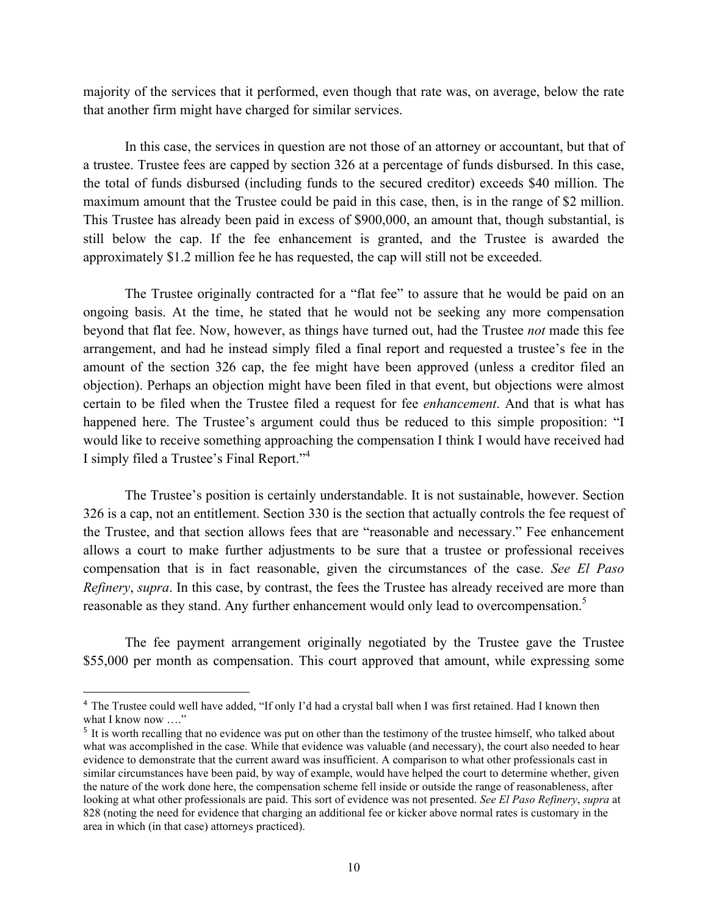majority of the services that it performed, even though that rate was, on average, below the rate that another firm might have charged for similar services.

In this case, the services in question are not those of an attorney or accountant, but that of a trustee. Trustee fees are capped by section 326 at a percentage of funds disbursed. In this case, the total of funds disbursed (including funds to the secured creditor) exceeds \$40 million. The maximum amount that the Trustee could be paid in this case, then, is in the range of \$2 million. This Trustee has already been paid in excess of \$900,000, an amount that, though substantial, is still below the cap. If the fee enhancement is granted, and the Trustee is awarded the approximately \$1.2 million fee he has requested, the cap will still not be exceeded.

The Trustee originally contracted for a "flat fee" to assure that he would be paid on an ongoing basis. At the time, he stated that he would not be seeking any more compensation beyond that flat fee. Now, however, as things have turned out, had the Trustee *not* made this fee arrangement, and had he instead simply filed a final report and requested a trustee's fee in the amount of the section 326 cap, the fee might have been approved (unless a creditor filed an objection). Perhaps an objection might have been filed in that event, but objections were almost certain to be filed when the Trustee filed a request for fee *enhancement*. And that is what has happened here. The Trustee's argument could thus be reduced to this simple proposition: "I would like to receive something approaching the compensation I think I would have received had I simply filed a Trustee's Final Report."<sup>4</sup>

The Trustee's position is certainly understandable. It is not sustainable, however. Section 326 is a cap, not an entitlement. Section 330 is the section that actually controls the fee request of the Trustee, and that section allows fees that are "reasonable and necessary." Fee enhancement allows a court to make further adjustments to be sure that a trustee or professional receives compensation that is in fact reasonable, given the circumstances of the case. *See El Paso Refinery*, *supra*. In this case, by contrast, the fees the Trustee has already received are more than reasonable as they stand. Any further enhancement would only lead to overcompensation.<sup>5</sup>

The fee payment arrangement originally negotiated by the Trustee gave the Trustee \$55,000 per month as compensation. This court approved that amount, while expressing some

<sup>&</sup>lt;sup>4</sup> The Trustee could well have added, "If only I'd had a crystal ball when I was first retained. Had I known then what I know now ...."

<sup>&</sup>lt;sup>5</sup> It is worth recalling that no evidence was put on other than the testimony of the trustee himself, who talked about what was accomplished in the case. While that evidence was valuable (and necessary), the court also needed to hear evidence to demonstrate that the current award was insufficient. A comparison to what other professionals cast in similar circumstances have been paid, by way of example, would have helped the court to determine whether, given the nature of the work done here, the compensation scheme fell inside or outside the range of reasonableness, after looking at what other professionals are paid. This sort of evidence was not presented. *See El Paso Refinery*, *supra* at 828 (noting the need for evidence that charging an additional fee or kicker above normal rates is customary in the area in which (in that case) attorneys practiced).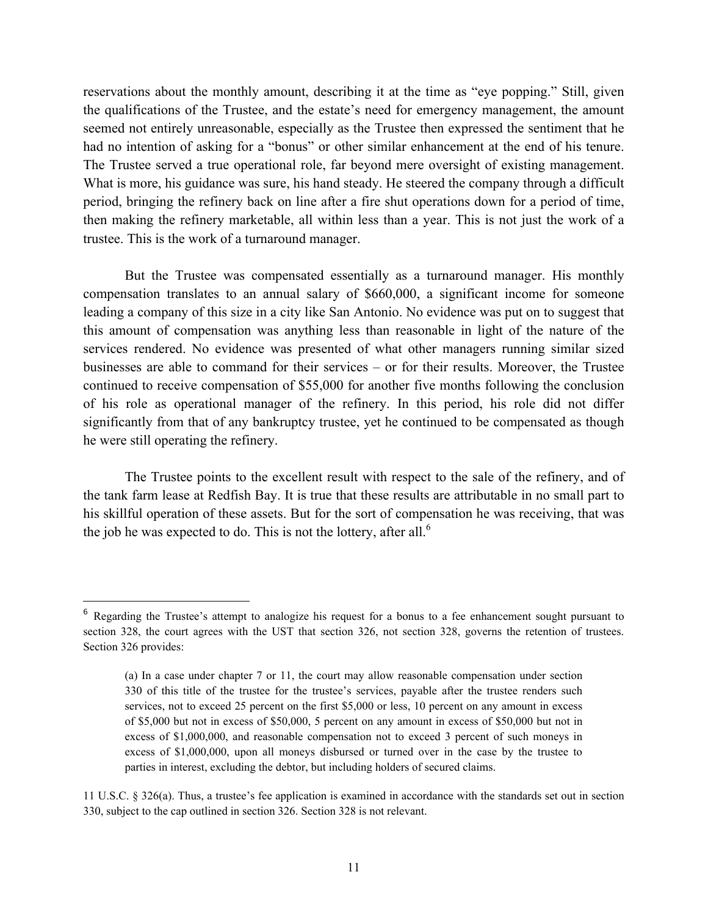reservations about the monthly amount, describing it at the time as "eye popping." Still, given the qualifications of the Trustee, and the estate's need for emergency management, the amount seemed not entirely unreasonable, especially as the Trustee then expressed the sentiment that he had no intention of asking for a "bonus" or other similar enhancement at the end of his tenure. The Trustee served a true operational role, far beyond mere oversight of existing management. What is more, his guidance was sure, his hand steady. He steered the company through a difficult period, bringing the refinery back on line after a fire shut operations down for a period of time, then making the refinery marketable, all within less than a year. This is not just the work of a trustee. This is the work of a turnaround manager.

But the Trustee was compensated essentially as a turnaround manager. His monthly compensation translates to an annual salary of \$660,000, a significant income for someone leading a company of this size in a city like San Antonio. No evidence was put on to suggest that this amount of compensation was anything less than reasonable in light of the nature of the services rendered. No evidence was presented of what other managers running similar sized businesses are able to command for their services – or for their results. Moreover, the Trustee continued to receive compensation of \$55,000 for another five months following the conclusion of his role as operational manager of the refinery. In this period, his role did not differ significantly from that of any bankruptcy trustee, yet he continued to be compensated as though he were still operating the refinery.

The Trustee points to the excellent result with respect to the sale of the refinery, and of the tank farm lease at Redfish Bay. It is true that these results are attributable in no small part to his skillful operation of these assets. But for the sort of compensation he was receiving, that was the job he was expected to do. This is not the lottery, after all.<sup>6</sup>

<sup>&</sup>lt;sup>6</sup> Regarding the Trustee's attempt to analogize his request for a bonus to a fee enhancement sought pursuant to section 328, the court agrees with the UST that section 326, not section 328, governs the retention of trustees. Section 326 provides:

<sup>(</sup>a) In a case under chapter 7 or 11, the court may allow reasonable compensation under section 330 of this title of the trustee for the trustee's services, payable after the trustee renders such services, not to exceed 25 percent on the first \$5,000 or less, 10 percent on any amount in excess of \$5,000 but not in excess of \$50,000, 5 percent on any amount in excess of \$50,000 but not in excess of \$1,000,000, and reasonable compensation not to exceed 3 percent of such moneys in excess of \$1,000,000, upon all moneys disbursed or turned over in the case by the trustee to parties in interest, excluding the debtor, but including holders of secured claims.

<sup>11</sup> U.S.C. § 326(a). Thus, a trustee's fee application is examined in accordance with the standards set out in section 330, subject to the cap outlined in section 326. Section 328 is not relevant.